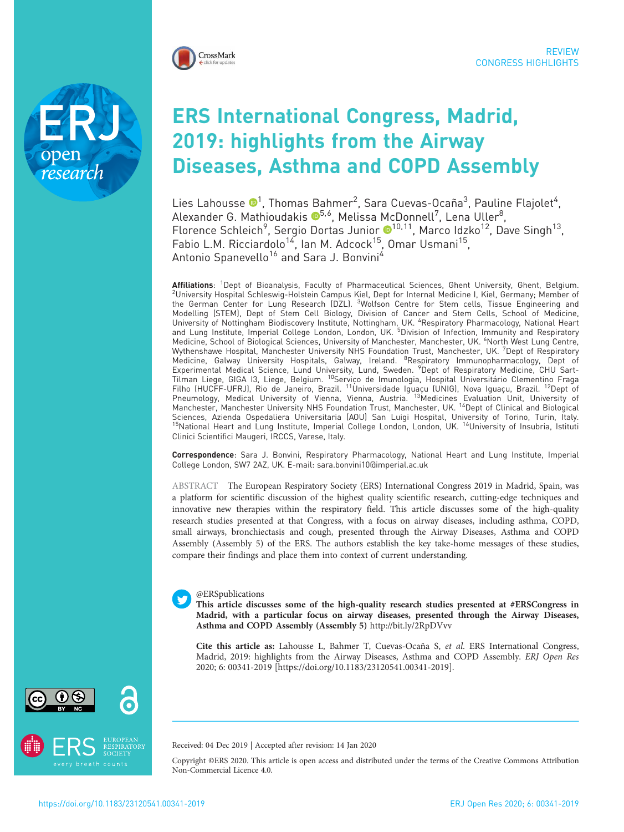

research

# ERS International Congress, Madrid, 2019: highlights from the Airway Diseases, Asthma and COPD Assembly

Lies Lahousse  $\mathbf{C}^1$  $\mathbf{C}^1$ , Thomas Bahmer $^2$ , Sara Cuevas-Ocaña $^3$ , Pauline Flajolet $^4$ , Alexander G. Mathioudakis ®<sup>5,6</sup>, Melissa McDonnell<sup>7</sup>, Lena Uller<sup>8</sup>, Florence Schleich<sup>9</sup>, Sergio Dortas Junior ®<sup>10,11</sup>, Marco Idzko<sup>12</sup>, Dave Singh<sup>13</sup>, Fabio L.M. Ricciardolo<sup>14</sup>, Ian M. Adcock<sup>15</sup>, Omar Usmani<sup>15</sup>, Antonio Spanevello<sup>16</sup> and Sara J. Bonvini<sup>4</sup>

Affiliations: <sup>1</sup>Dept of Bioanalysis, Faculty of Pharmaceutical Sciences, Ghent University, Ghent, Belgium. **Affiliations**: 'Dept of Bioanalysis, Faculty of Pharmaceutical Sciences, Ghent University, Ghent, Belgium.<br><sup>2</sup>University Hospital Schleswig-Holstein Campus Kiel, Dept for Internal Medicine I, Kiel, Germany; Member of<br>the Modelling (STEM), Dept of Stem Cell Biology, Division of Cancer and Stem Cells, School of Medicine, University of Nottingham Biodiscovery Institute, Nottingham, UK. <sup>4</sup>Respiratory Pharmacology, National Heart<br>and Lung Institute, Imperial College London, London, UK. <sup>5</sup>Division of Infection, Immunity and Respiratory Medicine, School of Biological Sciences, University of Manchester, Manchester, UK. <sup>6</sup>North West Lung Centre, Wythenshawe Hospital, Manchester University NHS Foundation Trust, Manchester, UK. <sup>7</sup> Dept of Respiratory Medicine, Galway University Hospitals, Galway, Ireland. <sup>8</sup>Respiratory Immunopharmacology, Dept of<br>Experimental Medical Science, Lund University, Lund, Sweden. <sup>9</sup>Dept of Respiratory Medicine, CHU Sart-<br>Tilman Liege, GIGA Filho (HUCFF-UFRJ), Rio de Janeiro, Brazil. <sup>11</sup>Universidade Iguaçu (UNIG), Nova Iguaçu, Brazil. <sup>12</sup>Dept of Pneumology, Medical University of Vienna, Vienna, Austria. <sup>13</sup>Medicines Evaluation Unit, University of Manchester, Manchester University NHS Foundation Trust, Manchester, UK. <sup>14</sup>Dept of Clinical and Biological Sciences, Azienda Ospedaliera Universitaria (AOU) San Luigi Hospital, University of Torino, Turin, Italy.<br><sup>15</sup>National Heart and Lung Institute, Imperial College London, London, UK. <sup>16</sup>University of Insubria, Istituti Clinici Scientifici Maugeri, IRCCS, Varese, Italy.

Correspondence: Sara J. Bonvini, Respiratory Pharmacology, National Heart and Lung Institute, Imperial College London, SW7 2AZ, UK. E-mail: [sara.bonvini10@imperial.ac.uk](mailto:sara.bonvini10@imperial.ac.uk)

ABSTRACT The European Respiratory Society (ERS) International Congress 2019 in Madrid, Spain, was a platform for scientific discussion of the highest quality scientific research, cutting-edge techniques and innovative new therapies within the respiratory field. This article discusses some of the high-quality research studies presented at that Congress, with a focus on airway diseases, including asthma, COPD, small airways, bronchiectasis and cough, presented through the Airway Diseases, Asthma and COPD Assembly (Assembly 5) of the ERS. The authors establish the key take-home messages of these studies, compare their findings and place them into context of current understanding.

# @ERSpublications

This article discusses some of the high-quality research studies presented at #ERSCongress in Madrid, with a particular focus on airway diseases, presented through the Airway Diseases, Asthma and COPD Assembly (Assembly 5) <http://bit.ly/2RpDVvv>

Cite this article as: Lahousse L, Bahmer T, Cuevas-Ocaña S, et al. ERS International Congress, Madrid, 2019: highlights from the Airway Diseases, Asthma and COPD Assembly. ERJ Open Res 2020; 6: 00341-2019 [\[https://doi.org/10.1183/23120541.00341-2019\].](https://doi.org/10.1183/23120541.00341-2019)





Received: 04 Dec 2019 | Accepted after revision: 14 Jan 2020

Copyright ©ERS 2020. This article is open access and distributed under the terms of the Creative Commons Attribution Non-Commercial Licence 4.0.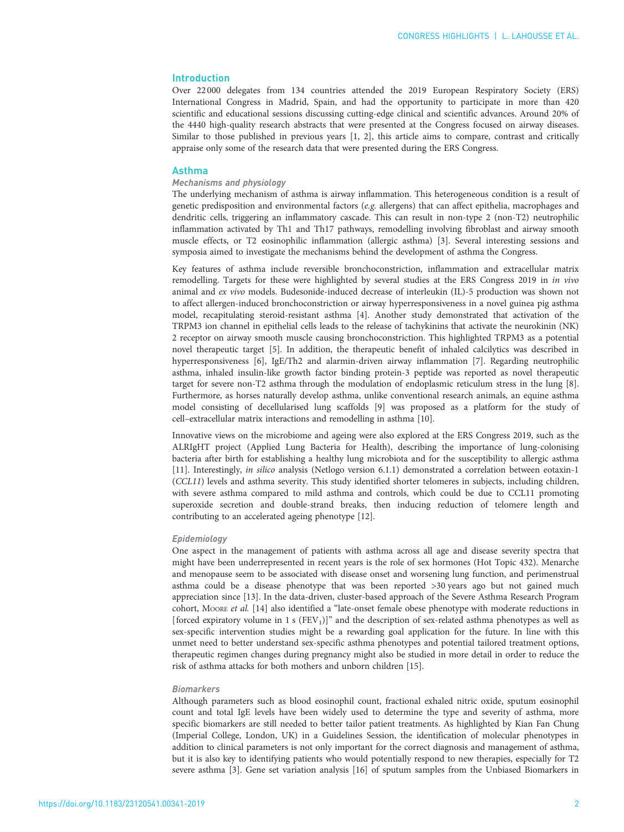## Introduction

Over 22 000 delegates from 134 countries attended the 2019 European Respiratory Society (ERS) International Congress in Madrid, Spain, and had the opportunity to participate in more than 420 scientific and educational sessions discussing cutting-edge clinical and scientific advances. Around 20% of the 4440 high-quality research abstracts that were presented at the Congress focused on airway diseases. Similar to those published in previous years [\[1, 2\]](#page-8-0), this article aims to compare, contrast and critically appraise only some of the research data that were presented during the ERS Congress.

## Asthma

## Mechanisms and physiology

The underlying mechanism of asthma is airway inflammation. This heterogeneous condition is a result of genetic predisposition and environmental factors ( $e.g.$  allergens) that can affect epithelia, macrophages and dendritic cells, triggering an inflammatory cascade. This can result in non-type 2 (non-T2) neutrophilic inflammation activated by Th1 and Th17 pathways, remodelling involving fibroblast and airway smooth muscle effects, or T2 eosinophilic inflammation (allergic asthma) [[3\]](#page-8-0). Several interesting sessions and symposia aimed to investigate the mechanisms behind the development of asthma the Congress.

Key features of asthma include reversible bronchoconstriction, inflammation and extracellular matrix remodelling. Targets for these were highlighted by several studies at the ERS Congress 2019 in in vivo animal and ex vivo models. Budesonide-induced decrease of interleukin (IL)-5 production was shown not to affect allergen-induced bronchoconstriction or airway hyperresponsiveness in a novel guinea pig asthma model, recapitulating steroid-resistant asthma [[4\]](#page-9-0). Another study demonstrated that activation of the TRPM3 ion channel in epithelial cells leads to the release of tachykinins that activate the neurokinin (NK) 2 receptor on airway smooth muscle causing bronchoconstriction. This highlighted TRPM3 as a potential novel therapeutic target [\[5](#page-9-0)]. In addition, the therapeutic benefit of inhaled calcilytics was described in hyperresponsiveness [\[6\]](#page-9-0), IgE/Th2 and alarmin-driven airway inflammation [\[7](#page-9-0)]. Regarding neutrophilic asthma, inhaled insulin-like growth factor binding protein-3 peptide was reported as novel therapeutic target for severe non-T2 asthma through the modulation of endoplasmic reticulum stress in the lung [\[8\]](#page-9-0). Furthermore, as horses naturally develop asthma, unlike conventional research animals, an equine asthma model consisting of decellularised lung scaffolds [[9\]](#page-9-0) was proposed as a platform for the study of cell–extracellular matrix interactions and remodelling in asthma [\[10](#page-9-0)].

Innovative views on the microbiome and ageing were also explored at the ERS Congress 2019, such as the ALRIgHT project (Applied Lung Bacteria for Health), describing the importance of lung-colonising bacteria after birth for establishing a healthy lung microbiota and for the susceptibility to allergic asthma [[11](#page-9-0)]. Interestingly, in silico analysis (Netlogo version 6.1.1) demonstrated a correlation between eotaxin-1 (CCL11) levels and asthma severity. This study identified shorter telomeres in subjects, including children, with severe asthma compared to mild asthma and controls, which could be due to CCL11 promoting superoxide secretion and double-strand breaks, then inducing reduction of telomere length and contributing to an accelerated ageing phenotype [\[12\]](#page-9-0).

#### Epidemiology

One aspect in the management of patients with asthma across all age and disease severity spectra that might have been underrepresented in recent years is the role of sex hormones (Hot Topic 432). Menarche and menopause seem to be associated with disease onset and worsening lung function, and perimenstrual asthma could be a disease phenotype that was been reported >30 years ago but not gained much appreciation since [\[13\]](#page-9-0). In the data-driven, cluster-based approach of the Severe Asthma Research Program cohort, MOORE et al. [[14\]](#page-9-0) also identified a "late-onset female obese phenotype with moderate reductions in [forced expiratory volume in 1 s (FEV<sub>1</sub>)]" and the description of sex-related asthma phenotypes as well as sex-specific intervention studies might be a rewarding goal application for the future. In line with this unmet need to better understand sex-specific asthma phenotypes and potential tailored treatment options, therapeutic regimen changes during pregnancy might also be studied in more detail in order to reduce the risk of asthma attacks for both mothers and unborn children [\[15\]](#page-9-0).

#### Biomarkers

Although parameters such as blood eosinophil count, fractional exhaled nitric oxide, sputum eosinophil count and total IgE levels have been widely used to determine the type and severity of asthma, more specific biomarkers are still needed to better tailor patient treatments. As highlighted by Kian Fan Chung (Imperial College, London, UK) in a Guidelines Session, the identification of molecular phenotypes in addition to clinical parameters is not only important for the correct diagnosis and management of asthma, but it is also key to identifying patients who would potentially respond to new therapies, especially for T2 severe asthma [[3](#page-8-0)]. Gene set variation analysis [[16](#page-9-0)] of sputum samples from the Unbiased Biomarkers in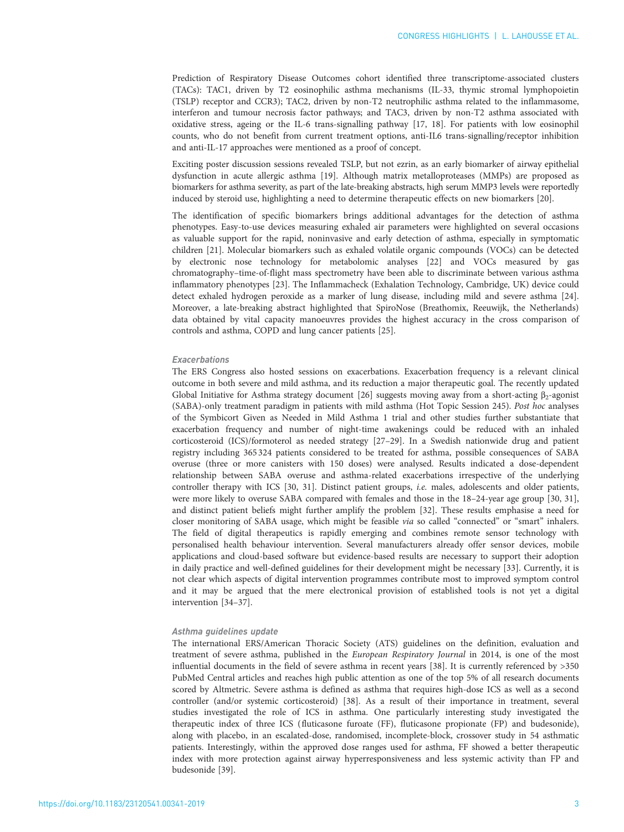Prediction of Respiratory Disease Outcomes cohort identified three transcriptome-associated clusters (TACs): TAC1, driven by T2 eosinophilic asthma mechanisms (IL-33, thymic stromal lymphopoietin (TSLP) receptor and CCR3); TAC2, driven by non-T2 neutrophilic asthma related to the inflammasome, interferon and tumour necrosis factor pathways; and TAC3, driven by non-T2 asthma associated with oxidative stress, ageing or the IL-6 trans-signalling pathway [\[17, 18\]](#page-9-0). For patients with low eosinophil counts, who do not benefit from current treatment options, anti-IL6 trans-signalling/receptor inhibition and anti-IL-17 approaches were mentioned as a proof of concept.

Exciting poster discussion sessions revealed TSLP, but not ezrin, as an early biomarker of airway epithelial dysfunction in acute allergic asthma [\[19\]](#page-9-0). Although matrix metalloproteases (MMPs) are proposed as biomarkers for asthma severity, as part of the late-breaking abstracts, high serum MMP3 levels were reportedly induced by steroid use, highlighting a need to determine therapeutic effects on new biomarkers [\[20](#page-9-0)].

The identification of specific biomarkers brings additional advantages for the detection of asthma phenotypes. Easy-to-use devices measuring exhaled air parameters were highlighted on several occasions as valuable support for the rapid, noninvasive and early detection of asthma, especially in symptomatic children [\[21\]](#page-9-0). Molecular biomarkers such as exhaled volatile organic compounds (VOCs) can be detected by electronic nose technology for metabolomic analyses [\[22\]](#page-9-0) and VOCs measured by gas chromatography–time-of-flight mass spectrometry have been able to discriminate between various asthma inflammatory phenotypes [\[23\]](#page-9-0). The Inflammacheck (Exhalation Technology, Cambridge, UK) device could detect exhaled hydrogen peroxide as a marker of lung disease, including mild and severe asthma [\[24\]](#page-9-0). Moreover, a late-breaking abstract highlighted that SpiroNose (Breathomix, Reeuwijk, the Netherlands) data obtained by vital capacity manoeuvres provides the highest accuracy in the cross comparison of controls and asthma, COPD and lung cancer patients [\[25\]](#page-9-0).

#### Exacerbations

The ERS Congress also hosted sessions on exacerbations. Exacerbation frequency is a relevant clinical outcome in both severe and mild asthma, and its reduction a major therapeutic goal. The recently updated Global Initiative for Asthma strategy document [\[26\]](#page-9-0) suggests moving away from a short-acting  $\beta_2$ -agonist (SABA)-only treatment paradigm in patients with mild asthma (Hot Topic Session 245). Post hoc analyses of the Symbicort Given as Needed in Mild Asthma 1 trial and other studies further substantiate that exacerbation frequency and number of night-time awakenings could be reduced with an inhaled corticosteroid (ICS)/formoterol as needed strategy [\[27](#page-9-0)–[29](#page-9-0)]. In a Swedish nationwide drug and patient registry including 365 324 patients considered to be treated for asthma, possible consequences of SABA overuse (three or more canisters with 150 doses) were analysed. Results indicated a dose-dependent relationship between SABA overuse and asthma-related exacerbations irrespective of the underlying controller therapy with ICS [\[30, 31](#page-9-0)]. Distinct patient groups, i.e. males, adolescents and older patients, were more likely to overuse SABA compared with females and those in the 18–24-year age group [[30](#page-9-0), [31\]](#page-9-0), and distinct patient beliefs might further amplify the problem [[32](#page-9-0)]. These results emphasise a need for closer monitoring of SABA usage, which might be feasible via so called "connected" or "smart" inhalers. The field of digital therapeutics is rapidly emerging and combines remote sensor technology with personalised health behaviour intervention. Several manufacturers already offer sensor devices, mobile applications and cloud-based software but evidence-based results are necessary to support their adoption in daily practice and well-defined guidelines for their development might be necessary [[33](#page-9-0)]. Currently, it is not clear which aspects of digital intervention programmes contribute most to improved symptom control and it may be argued that the mere electronical provision of established tools is not yet a digital intervention [\[34](#page-9-0)–[37\]](#page-9-0).

#### Asthma guidelines update

The international ERS/American Thoracic Society (ATS) guidelines on the definition, evaluation and treatment of severe asthma, published in the European Respiratory Journal in 2014, is one of the most influential documents in the field of severe asthma in recent years [\[38\]](#page-9-0). It is currently referenced by >350 PubMed Central articles and reaches high public attention as one of the top 5% of all research documents scored by Altmetric. Severe asthma is defined as asthma that requires high-dose ICS as well as a second controller (and/or systemic corticosteroid) [[38](#page-9-0)]. As a result of their importance in treatment, several studies investigated the role of ICS in asthma. One particularly interesting study investigated the therapeutic index of three ICS (fluticasone furoate (FF), fluticasone propionate (FP) and budesonide), along with placebo, in an escalated-dose, randomised, incomplete-block, crossover study in 54 asthmatic patients. Interestingly, within the approved dose ranges used for asthma, FF showed a better therapeutic index with more protection against airway hyperresponsiveness and less systemic activity than FP and budesonide [\[39\]](#page-10-0).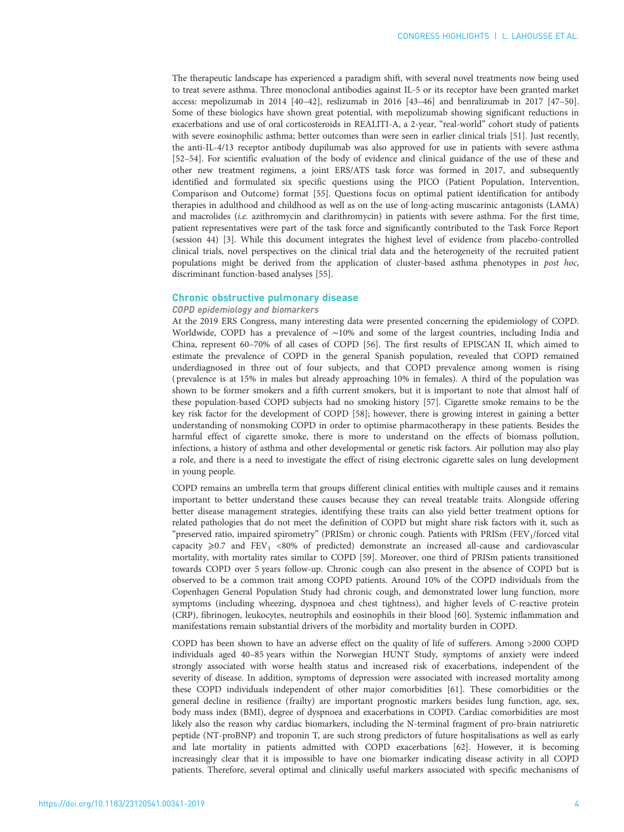The therapeutic landscape has experienced a paradigm shift, with several novel treatments now being used to treat severe asthma. Three monoclonal antibodies against IL-5 or its receptor have been granted market access: mepolizumab in 2014 [[40](#page-10-0)–[42\]](#page-10-0), reslizumab in 2016 [[43](#page-10-0)–[46](#page-10-0)] and benralizumab in 2017 [[47](#page-10-0)–[50\]](#page-10-0). Some of these biologics have shown great potential, with mepolizumab showing significant reductions in exacerbations and use of oral corticosteroids in REALITI-A, a 2-year, "real-world" cohort study of patients with severe eosinophilic asthma; better outcomes than were seen in earlier clinical trials [[51](#page-10-0)]. Just recently, the anti-IL-4/13 receptor antibody dupilumab was also approved for use in patients with severe asthma [[52](#page-10-0)–[54](#page-10-0)]. For scientific evaluation of the body of evidence and clinical guidance of the use of these and other new treatment regimens, a joint ERS/ATS task force was formed in 2017, and subsequently identified and formulated six specific questions using the PICO (Patient Population, Intervention, Comparison and Outcome) format [\[55\]](#page-10-0). Questions focus on optimal patient identification for antibody therapies in adulthood and childhood as well as on the use of long-acting muscarinic antagonists (LAMA) and macrolides (i.e. azithromycin and clarithromycin) in patients with severe asthma. For the first time, patient representatives were part of the task force and significantly contributed to the Task Force Report (session 44) [\[3](#page-8-0)]. While this document integrates the highest level of evidence from placebo-controlled clinical trials, novel perspectives on the clinical trial data and the heterogeneity of the recruited patient populations might be derived from the application of cluster-based asthma phenotypes in post hoc, discriminant function-based analyses [\[55\]](#page-10-0).

## Chronic obstructive pulmonary disease

# COPD epidemiology and biomarkers

At the 2019 ERS Congress, many interesting data were presented concerning the epidemiology of COPD. Worldwide, COPD has a prevalence of ∼10% and some of the largest countries, including India and China, represent 60–70% of all cases of COPD [[56](#page-10-0)]. The first results of EPISCAN II, which aimed to estimate the prevalence of COPD in the general Spanish population, revealed that COPD remained underdiagnosed in three out of four subjects, and that COPD prevalence among women is rising ( prevalence is at 15% in males but already approaching 10% in females). A third of the population was shown to be former smokers and a fifth current smokers, but it is important to note that almost half of these population-based COPD subjects had no smoking history [\[57\]](#page-10-0). Cigarette smoke remains to be the key risk factor for the development of COPD [\[58](#page-10-0)]; however, there is growing interest in gaining a better understanding of nonsmoking COPD in order to optimise pharmacotherapy in these patients. Besides the harmful effect of cigarette smoke, there is more to understand on the effects of biomass pollution, infections, a history of asthma and other developmental or genetic risk factors. Air pollution may also play a role, and there is a need to investigate the effect of rising electronic cigarette sales on lung development in young people.

COPD remains an umbrella term that groups different clinical entities with multiple causes and it remains important to better understand these causes because they can reveal treatable traits. Alongside offering better disease management strategies, identifying these traits can also yield better treatment options for related pathologies that do not meet the definition of COPD but might share risk factors with it, such as "preserved ratio, impaired spirometry" (PRISm) or chronic cough. Patients with PRISm (FEV1/forced vital capacity  $\geq 0.7$  and FEV<sub>1</sub> <80% of predicted) demonstrate an increased all-cause and cardiovascular mortality, with mortality rates similar to COPD [\[59\]](#page-10-0). Moreover, one third of PRISm patients transitioned towards COPD over 5 years follow-up. Chronic cough can also present in the absence of COPD but is observed to be a common trait among COPD patients. Around 10% of the COPD individuals from the Copenhagen General Population Study had chronic cough, and demonstrated lower lung function, more symptoms (including wheezing, dyspnoea and chest tightness), and higher levels of C-reactive protein (CRP), fibrinogen, leukocytes, neutrophils and eosinophils in their blood [[60](#page-10-0)]. Systemic inflammation and manifestations remain substantial drivers of the morbidity and mortality burden in COPD.

COPD has been shown to have an adverse effect on the quality of life of sufferers. Among >2000 COPD individuals aged 40–85 years within the Norwegian HUNT Study, symptoms of anxiety were indeed strongly associated with worse health status and increased risk of exacerbations, independent of the severity of disease. In addition, symptoms of depression were associated with increased mortality among these COPD individuals independent of other major comorbidities [\[61\]](#page-10-0). These comorbidities or the general decline in resilience (frailty) are important prognostic markers besides lung function, age, sex, body mass index (BMI), degree of dyspnoea and exacerbations in COPD. Cardiac comorbidities are most likely also the reason why cardiac biomarkers, including the N-terminal fragment of pro-brain natriuretic peptide (NT-proBNP) and troponin T, are such strong predictors of future hospitalisations as well as early and late mortality in patients admitted with COPD exacerbations [[62](#page-10-0)]. However, it is becoming increasingly clear that it is impossible to have one biomarker indicating disease activity in all COPD patients. Therefore, several optimal and clinically useful markers associated with specific mechanisms of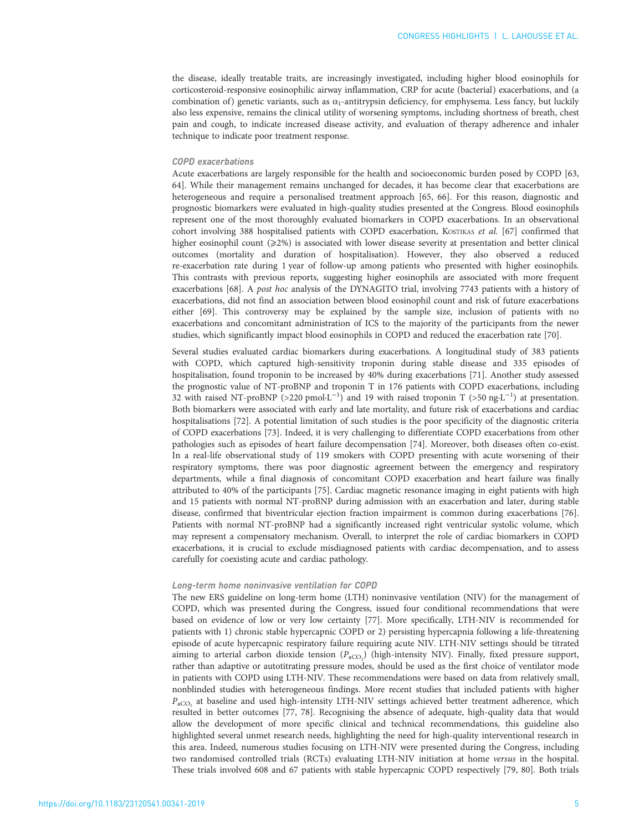the disease, ideally treatable traits, are increasingly investigated, including higher blood eosinophils for corticosteroid-responsive eosinophilic airway inflammation, CRP for acute (bacterial) exacerbations, and (a combination of) genetic variants, such as  $\alpha_1$ -antitrypsin deficiency, for emphysema. Less fancy, but luckily also less expensive, remains the clinical utility of worsening symptoms, including shortness of breath, chest pain and cough, to indicate increased disease activity, and evaluation of therapy adherence and inhaler technique to indicate poor treatment response.

## COPD exacerbations

Acute exacerbations are largely responsible for the health and socioeconomic burden posed by COPD [\[63,](#page-10-0) [64](#page-10-0)]. While their management remains unchanged for decades, it has become clear that exacerbations are heterogeneous and require a personalised treatment approach [\[65, 66](#page-10-0)]. For this reason, diagnostic and prognostic biomarkers were evaluated in high-quality studies presented at the Congress. Blood eosinophils represent one of the most thoroughly evaluated biomarkers in COPD exacerbations. In an observational cohort involving 388 hospitalised patients with COPD exacerbation, KOSTIKAS et al. [\[67\]](#page-10-0) confirmed that higher eosinophil count (≥2%) is associated with lower disease severity at presentation and better clinical outcomes (mortality and duration of hospitalisation). However, they also observed a reduced re-exacerbation rate during 1 year of follow-up among patients who presented with higher eosinophils. This contrasts with previous reports, suggesting higher eosinophils are associated with more frequent exacerbations [[68\]](#page-10-0). A post hoc analysis of the DYNAGITO trial, involving 7743 patients with a history of exacerbations, did not find an association between blood eosinophil count and risk of future exacerbations either [[69](#page-10-0)]. This controversy may be explained by the sample size, inclusion of patients with no exacerbations and concomitant administration of ICS to the majority of the participants from the newer studies, which significantly impact blood eosinophils in COPD and reduced the exacerbation rate [\[70](#page-10-0)].

Several studies evaluated cardiac biomarkers during exacerbations. A longitudinal study of 383 patients with COPD, which captured high-sensitivity troponin during stable disease and 335 episodes of hospitalisation, found troponin to be increased by 40% during exacerbations [\[71\]](#page-10-0). Another study assessed the prognostic value of NT-proBNP and troponin T in 176 patients with COPD exacerbations, including 32 with raised NT-proBNP (>220 pmol·L<sup>-1</sup>) and 19 with raised troponin T (>50 ng·L<sup>-1</sup>) at presentation. Both biomarkers were associated with early and late mortality, and future risk of exacerbations and cardiac hospitalisations [\[72\]](#page-11-0). A potential limitation of such studies is the poor specificity of the diagnostic criteria of COPD exacerbations [\[73\]](#page-11-0). Indeed, it is very challenging to differentiate COPD exacerbations from other pathologies such as episodes of heart failure decompensation [\[74\]](#page-11-0). Moreover, both diseases often co-exist. In a real-life observational study of 119 smokers with COPD presenting with acute worsening of their respiratory symptoms, there was poor diagnostic agreement between the emergency and respiratory departments, while a final diagnosis of concomitant COPD exacerbation and heart failure was finally attributed to 40% of the participants [\[75\]](#page-11-0). Cardiac magnetic resonance imaging in eight patients with high and 15 patients with normal NT-proBNP during admission with an exacerbation and later, during stable disease, confirmed that biventricular ejection fraction impairment is common during exacerbations [\[76\]](#page-11-0). Patients with normal NT-proBNP had a significantly increased right ventricular systolic volume, which may represent a compensatory mechanism. Overall, to interpret the role of cardiac biomarkers in COPD exacerbations, it is crucial to exclude misdiagnosed patients with cardiac decompensation, and to assess carefully for coexisting acute and cardiac pathology.

### Long-term home noninvasive ventilation for COPD

The new ERS guideline on long-term home (LTH) noninvasive ventilation (NIV) for the management of COPD, which was presented during the Congress, issued four conditional recommendations that were based on evidence of low or very low certainty [\[77\]](#page-11-0). More specifically, LTH-NIV is recommended for patients with 1) chronic stable hypercapnic COPD or 2) persisting hypercapnia following a life-threatening episode of acute hypercapnic respiratory failure requiring acute NIV. LTH-NIV settings should be titrated aiming to arterial carbon dioxide tension  $(P_{\text{aCO}_2})$  (high-intensity NIV). Finally, fixed pressure support, rather than adaptive or autotitrating pressure modes, should be used as the first choice of ventilator mode in patients with COPD using LTH-NIV. These recommendations were based on data from relatively small, nonblinded studies with heterogeneous findings. More recent studies that included patients with higher  $P_{\text{aCO}}$  at baseline and used high-intensity LTH-NIV settings achieved better treatment adherence, which resulted in better outcomes [[77](#page-11-0), [78\]](#page-11-0). Recognising the absence of adequate, high-quality data that would allow the development of more specific clinical and technical recommendations, this guideline also highlighted several unmet research needs, highlighting the need for high-quality interventional research in this area. Indeed, numerous studies focusing on LTH-NIV were presented during the Congress, including two randomised controlled trials (RCTs) evaluating LTH-NIV initiation at home versus in the hospital. These trials involved 608 and 67 patients with stable hypercapnic COPD respectively [[79](#page-11-0), [80](#page-11-0)]. Both trials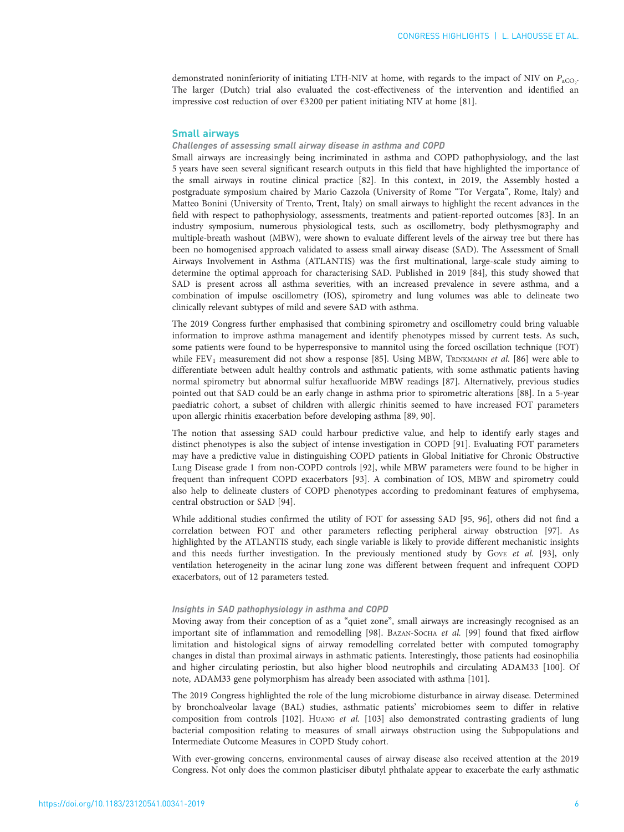demonstrated noninferiority of initiating LTH-NIV at home, with regards to the impact of NIV on  $P_{\rm aCO_2}$ The larger (Dutch) trial also evaluated the cost-effectiveness of the intervention and identified an impressive cost reduction of over €3200 per patient initiating NIV at home [[81](#page-11-0)].

## Small airways

#### Challenges of assessing small airway disease in asthma and COPD

Small airways are increasingly being incriminated in asthma and COPD pathophysiology, and the last 5 years have seen several significant research outputs in this field that have highlighted the importance of the small airways in routine clinical practice [\[82](#page-11-0)]. In this context, in 2019, the Assembly hosted a postgraduate symposium chaired by Mario Cazzola (University of Rome "Tor Vergata", Rome, Italy) and Matteo Bonini (University of Trento, Trent, Italy) on small airways to highlight the recent advances in the field with respect to pathophysiology, assessments, treatments and patient-reported outcomes [[83](#page-11-0)]. In an industry symposium, numerous physiological tests, such as oscillometry, body plethysmography and multiple-breath washout (MBW), were shown to evaluate different levels of the airway tree but there has been no homogenised approach validated to assess small airway disease (SAD). The Assessment of Small Airways Involvement in Asthma (ATLANTIS) was the first multinational, large-scale study aiming to determine the optimal approach for characterising SAD. Published in 2019 [\[84](#page-11-0)], this study showed that SAD is present across all asthma severities, with an increased prevalence in severe asthma, and a combination of impulse oscillometry (IOS), spirometry and lung volumes was able to delineate two clinically relevant subtypes of mild and severe SAD with asthma.

The 2019 Congress further emphasised that combining spirometry and oscillometry could bring valuable information to improve asthma management and identify phenotypes missed by current tests. As such, some patients were found to be hyperresponsive to mannitol using the forced oscillation technique (FOT) while FEV<sub>1</sub> measurement did not show a response [[85](#page-11-0)]. Using MBW, TRINKMANN et al. [\[86\]](#page-11-0) were able to differentiate between adult healthy controls and asthmatic patients, with some asthmatic patients having normal spirometry but abnormal sulfur hexafluoride MBW readings [\[87](#page-11-0)]. Alternatively, previous studies pointed out that SAD could be an early change in asthma prior to spirometric alterations [\[88](#page-11-0)]. In a 5-year paediatric cohort, a subset of children with allergic rhinitis seemed to have increased FOT parameters upon allergic rhinitis exacerbation before developing asthma [[89](#page-11-0), [90](#page-11-0)].

The notion that assessing SAD could harbour predictive value, and help to identify early stages and distinct phenotypes is also the subject of intense investigation in COPD [\[91](#page-11-0)]. Evaluating FOT parameters may have a predictive value in distinguishing COPD patients in Global Initiative for Chronic Obstructive Lung Disease grade 1 from non-COPD controls [[92](#page-11-0)], while MBW parameters were found to be higher in frequent than infrequent COPD exacerbators [\[93\]](#page-11-0). A combination of IOS, MBW and spirometry could also help to delineate clusters of COPD phenotypes according to predominant features of emphysema, central obstruction or SAD [\[94\]](#page-11-0).

While additional studies confirmed the utility of FOT for assessing SAD [\[95, 96](#page-11-0)], others did not find a correlation between FOT and other parameters reflecting peripheral airway obstruction [\[97\]](#page-11-0). As highlighted by the ATLANTIS study, each single variable is likely to provide different mechanistic insights and this needs further investigation. In the previously mentioned study by GovE et al. [[93\]](#page-11-0), only ventilation heterogeneity in the acinar lung zone was different between frequent and infrequent COPD exacerbators, out of 12 parameters tested.

#### Insights in SAD pathophysiology in asthma and COPD

Moving away from their conception of as a "quiet zone", small airways are increasingly recognised as an important site of inflammation and remodelling [\[98\]](#page-11-0). BAZAN-SOCHA et al. [\[99\]](#page-11-0) found that fixed airflow limitation and histological signs of airway remodelling correlated better with computed tomography changes in distal than proximal airways in asthmatic patients. Interestingly, those patients had eosinophilia and higher circulating periostin, but also higher blood neutrophils and circulating ADAM33 [\[100](#page-11-0)]. Of note, ADAM33 gene polymorphism has already been associated with asthma [[101\]](#page-11-0).

The 2019 Congress highlighted the role of the lung microbiome disturbance in airway disease. Determined by bronchoalveolar lavage (BAL) studies, asthmatic patients' microbiomes seem to differ in relative composition from controls [\[102](#page-11-0)]. HUANG et al. [\[103\]](#page-11-0) also demonstrated contrasting gradients of lung bacterial composition relating to measures of small airways obstruction using the Subpopulations and Intermediate Outcome Measures in COPD Study cohort.

With ever-growing concerns, environmental causes of airway disease also received attention at the 2019 Congress. Not only does the common plasticiser dibutyl phthalate appear to exacerbate the early asthmatic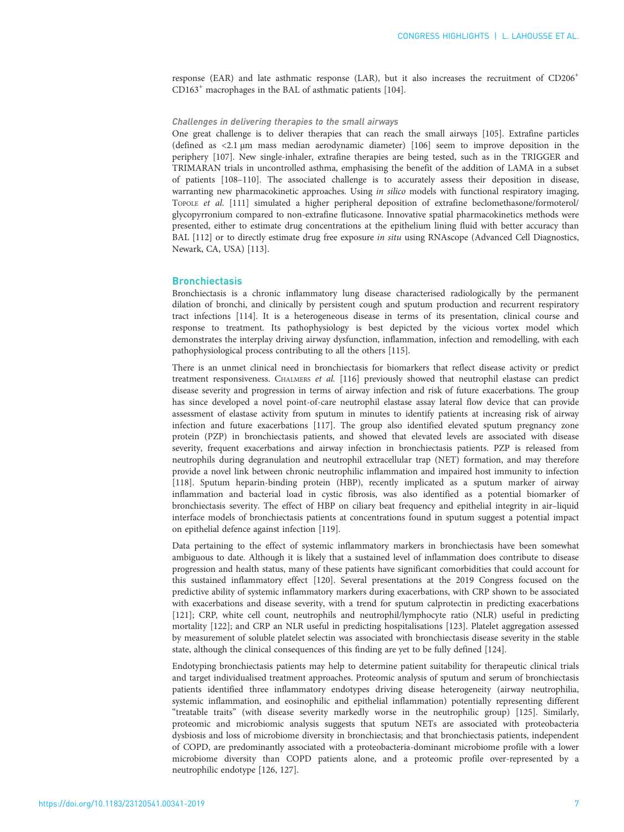response (EAR) and late asthmatic response (LAR), but it also increases the recruitment of CD206<sup>+</sup> CD163<sup>+</sup> macrophages in the BAL of asthmatic patients [[104](#page-11-0)].

#### Challenges in delivering therapies to the small airways

One great challenge is to deliver therapies that can reach the small airways [\[105](#page-11-0)]. Extrafine particles (defined as <2.1 µm mass median aerodynamic diameter) [\[106](#page-12-0)] seem to improve deposition in the periphery [\[107](#page-12-0)]. New single-inhaler, extrafine therapies are being tested, such as in the TRIGGER and TRIMARAN trials in uncontrolled asthma, emphasising the benefit of the addition of LAMA in a subset of patients [\[108](#page-12-0)–[110\]](#page-12-0). The associated challenge is to accurately assess their deposition in disease, warranting new pharmacokinetic approaches. Using *in silico* models with functional respiratory imaging, TOPOLE et al. [[111\]](#page-12-0) simulated a higher peripheral deposition of extrafine beclomethasone/formoterol/ glycopyrronium compared to non-extrafine fluticasone. Innovative spatial pharmacokinetics methods were presented, either to estimate drug concentrations at the epithelium lining fluid with better accuracy than BAL [[112\]](#page-12-0) or to directly estimate drug free exposure in situ using RNAscope (Advanced Cell Diagnostics, Newark, CA, USA) [\[113](#page-12-0)].

## **Bronchiectasis**

Bronchiectasis is a chronic inflammatory lung disease characterised radiologically by the permanent dilation of bronchi, and clinically by persistent cough and sputum production and recurrent respiratory tract infections [\[114](#page-12-0)]. It is a heterogeneous disease in terms of its presentation, clinical course and response to treatment. Its pathophysiology is best depicted by the vicious vortex model which demonstrates the interplay driving airway dysfunction, inflammation, infection and remodelling, with each pathophysiological process contributing to all the others [[115\]](#page-12-0).

There is an unmet clinical need in bronchiectasis for biomarkers that reflect disease activity or predict treatment responsiveness. CHALMERS et al. [\[116](#page-12-0)] previously showed that neutrophil elastase can predict disease severity and progression in terms of airway infection and risk of future exacerbations. The group has since developed a novel point-of-care neutrophil elastase assay lateral flow device that can provide assessment of elastase activity from sputum in minutes to identify patients at increasing risk of airway infection and future exacerbations [\[117](#page-12-0)]. The group also identified elevated sputum pregnancy zone protein (PZP) in bronchiectasis patients, and showed that elevated levels are associated with disease severity, frequent exacerbations and airway infection in bronchiectasis patients. PZP is released from neutrophils during degranulation and neutrophil extracellular trap (NET) formation, and may therefore provide a novel link between chronic neutrophilic inflammation and impaired host immunity to infection [[118](#page-12-0)]. Sputum heparin-binding protein (HBP), recently implicated as a sputum marker of airway inflammation and bacterial load in cystic fibrosis, was also identified as a potential biomarker of bronchiectasis severity. The effect of HBP on ciliary beat frequency and epithelial integrity in air–liquid interface models of bronchiectasis patients at concentrations found in sputum suggest a potential impact on epithelial defence against infection [\[119](#page-12-0)].

Data pertaining to the effect of systemic inflammatory markers in bronchiectasis have been somewhat ambiguous to date. Although it is likely that a sustained level of inflammation does contribute to disease progression and health status, many of these patients have significant comorbidities that could account for this sustained inflammatory effect [\[120](#page-12-0)]. Several presentations at the 2019 Congress focused on the predictive ability of systemic inflammatory markers during exacerbations, with CRP shown to be associated with exacerbations and disease severity, with a trend for sputum calprotectin in predicting exacerbations [[121](#page-12-0)]; CRP, white cell count, neutrophils and neutrophil/lymphocyte ratio (NLR) useful in predicting mortality [[122\]](#page-12-0); and CRP an NLR useful in predicting hospitalisations [[123\]](#page-12-0). Platelet aggregation assessed by measurement of soluble platelet selectin was associated with bronchiectasis disease severity in the stable state, although the clinical consequences of this finding are yet to be fully defined [[124\]](#page-12-0).

Endotyping bronchiectasis patients may help to determine patient suitability for therapeutic clinical trials and target individualised treatment approaches. Proteomic analysis of sputum and serum of bronchiectasis patients identified three inflammatory endotypes driving disease heterogeneity (airway neutrophilia, systemic inflammation, and eosinophilic and epithelial inflammation) potentially representing different "treatable traits" (with disease severity markedly worse in the neutrophilic group) [\[125](#page-12-0)]. Similarly, proteomic and microbiomic analysis suggests that sputum NETs are associated with proteobacteria dysbiosis and loss of microbiome diversity in bronchiectasis; and that bronchiectasis patients, independent of COPD, are predominantly associated with a proteobacteria-dominant microbiome profile with a lower microbiome diversity than COPD patients alone, and a proteomic profile over-represented by a neutrophilic endotype [[126, 127](#page-12-0)].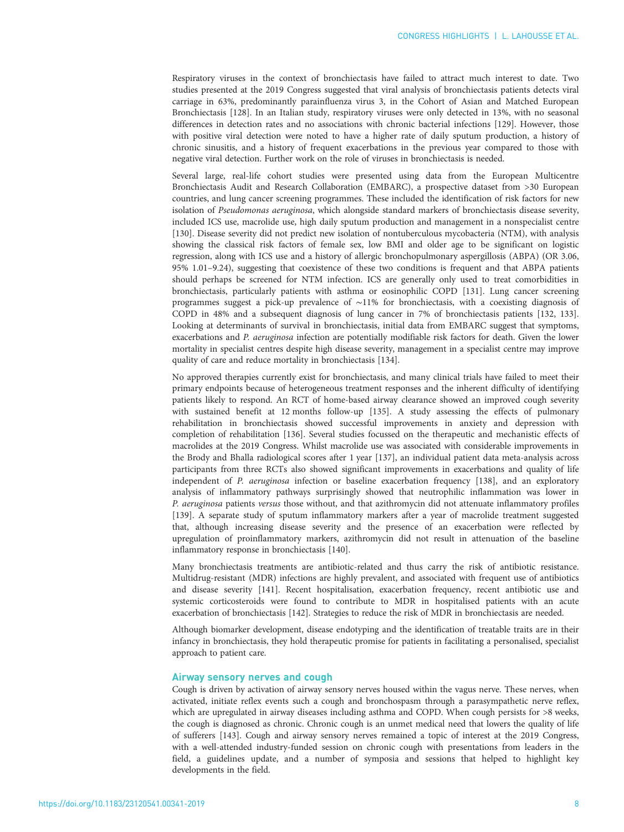Respiratory viruses in the context of bronchiectasis have failed to attract much interest to date. Two studies presented at the 2019 Congress suggested that viral analysis of bronchiectasis patients detects viral carriage in 63%, predominantly parainfluenza virus 3, in the Cohort of Asian and Matched European Bronchiectasis [\[128](#page-12-0)]. In an Italian study, respiratory viruses were only detected in 13%, with no seasonal differences in detection rates and no associations with chronic bacterial infections [\[129\]](#page-12-0). However, those with positive viral detection were noted to have a higher rate of daily sputum production, a history of chronic sinusitis, and a history of frequent exacerbations in the previous year compared to those with negative viral detection. Further work on the role of viruses in bronchiectasis is needed.

Several large, real-life cohort studies were presented using data from the European Multicentre Bronchiectasis Audit and Research Collaboration (EMBARC), a prospective dataset from >30 European countries, and lung cancer screening programmes. These included the identification of risk factors for new isolation of Pseudomonas aeruginosa, which alongside standard markers of bronchiectasis disease severity, included ICS use, macrolide use, high daily sputum production and management in a nonspecialist centre [[130](#page-12-0)]. Disease severity did not predict new isolation of nontuberculous mycobacteria (NTM), with analysis showing the classical risk factors of female sex, low BMI and older age to be significant on logistic regression, along with ICS use and a history of allergic bronchopulmonary aspergillosis (ABPA) (OR 3.06, 95% 1.01–9.24), suggesting that coexistence of these two conditions is frequent and that ABPA patients should perhaps be screened for NTM infection. ICS are generally only used to treat comorbidities in bronchiectasis, particularly patients with asthma or eosinophilic COPD [[131\]](#page-12-0). Lung cancer screening programmes suggest a pick-up prevalence of ∼11% for bronchiectasis, with a coexisting diagnosis of COPD in 48% and a subsequent diagnosis of lung cancer in 7% of bronchiectasis patients [[132, 133\]](#page-12-0). Looking at determinants of survival in bronchiectasis, initial data from EMBARC suggest that symptoms, exacerbations and P. aeruginosa infection are potentially modifiable risk factors for death. Given the lower mortality in specialist centres despite high disease severity, management in a specialist centre may improve quality of care and reduce mortality in bronchiectasis [[134\]](#page-12-0).

No approved therapies currently exist for bronchiectasis, and many clinical trials have failed to meet their primary endpoints because of heterogeneous treatment responses and the inherent difficulty of identifying patients likely to respond. An RCT of home-based airway clearance showed an improved cough severity with sustained benefit at 12 months follow-up [[135\]](#page-12-0). A study assessing the effects of pulmonary rehabilitation in bronchiectasis showed successful improvements in anxiety and depression with completion of rehabilitation [[136](#page-12-0)]. Several studies focussed on the therapeutic and mechanistic effects of macrolides at the 2019 Congress. Whilst macrolide use was associated with considerable improvements in the Brody and Bhalla radiological scores after 1 year [\[137](#page-12-0)], an individual patient data meta-analysis across participants from three RCTs also showed significant improvements in exacerbations and quality of life independent of P. aeruginosa infection or baseline exacerbation frequency [\[138](#page-12-0)], and an exploratory analysis of inflammatory pathways surprisingly showed that neutrophilic inflammation was lower in P. aeruginosa patients versus those without, and that azithromycin did not attenuate inflammatory profiles [[139](#page-12-0)]. A separate study of sputum inflammatory markers after a year of macrolide treatment suggested that, although increasing disease severity and the presence of an exacerbation were reflected by upregulation of proinflammatory markers, azithromycin did not result in attenuation of the baseline inflammatory response in bronchiectasis [[140](#page-13-0)].

Many bronchiectasis treatments are antibiotic-related and thus carry the risk of antibiotic resistance. Multidrug-resistant (MDR) infections are highly prevalent, and associated with frequent use of antibiotics and disease severity [[141](#page-13-0)]. Recent hospitalisation, exacerbation frequency, recent antibiotic use and systemic corticosteroids were found to contribute to MDR in hospitalised patients with an acute exacerbation of bronchiectasis [[142](#page-13-0)]. Strategies to reduce the risk of MDR in bronchiectasis are needed.

Although biomarker development, disease endotyping and the identification of treatable traits are in their infancy in bronchiectasis, they hold therapeutic promise for patients in facilitating a personalised, specialist approach to patient care.

## Airway sensory nerves and cough

Cough is driven by activation of airway sensory nerves housed within the vagus nerve. These nerves, when activated, initiate reflex events such a cough and bronchospasm through a parasympathetic nerve reflex, which are upregulated in airway diseases including asthma and COPD. When cough persists for >8 weeks, the cough is diagnosed as chronic. Chronic cough is an unmet medical need that lowers the quality of life of sufferers [[143\]](#page-13-0). Cough and airway sensory nerves remained a topic of interest at the 2019 Congress, with a well-attended industry-funded session on chronic cough with presentations from leaders in the field, a guidelines update, and a number of symposia and sessions that helped to highlight key developments in the field.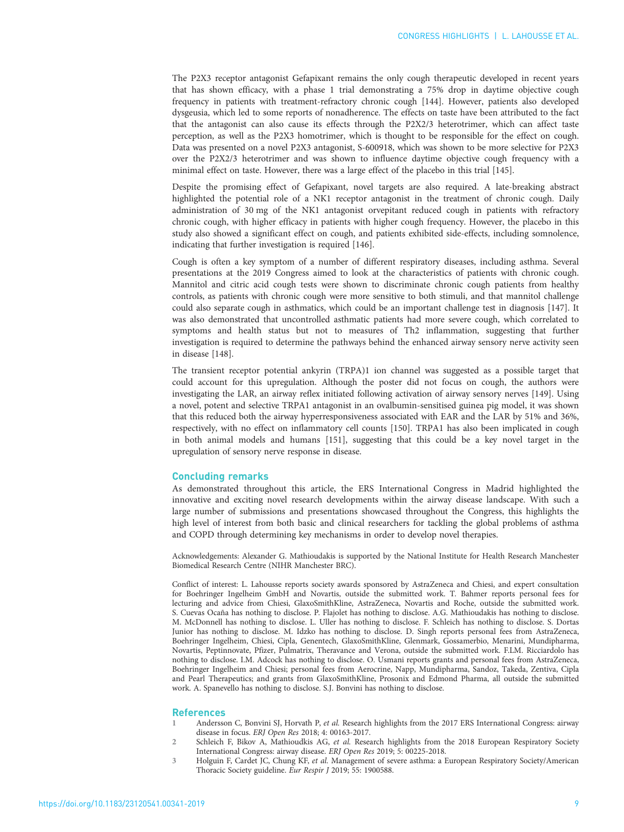<span id="page-8-0"></span>The P2X3 receptor antagonist Gefapixant remains the only cough therapeutic developed in recent years that has shown efficacy, with a phase 1 trial demonstrating a 75% drop in daytime objective cough frequency in patients with treatment-refractory chronic cough [[144\]](#page-13-0). However, patients also developed dysgeusia, which led to some reports of nonadherence. The effects on taste have been attributed to the fact that the antagonist can also cause its effects through the P2X2/3 heterotrimer, which can affect taste perception, as well as the P2X3 homotrimer, which is thought to be responsible for the effect on cough. Data was presented on a novel P2X3 antagonist, S-600918, which was shown to be more selective for P2X3 over the P2X2/3 heterotrimer and was shown to influence daytime objective cough frequency with a minimal effect on taste. However, there was a large effect of the placebo in this trial [\[145](#page-13-0)].

Despite the promising effect of Gefapixant, novel targets are also required. A late-breaking abstract highlighted the potential role of a NK1 receptor antagonist in the treatment of chronic cough. Daily administration of 30 mg of the NK1 antagonist orvepitant reduced cough in patients with refractory chronic cough, with higher efficacy in patients with higher cough frequency. However, the placebo in this study also showed a significant effect on cough, and patients exhibited side-effects, including somnolence, indicating that further investigation is required [\[146](#page-13-0)].

Cough is often a key symptom of a number of different respiratory diseases, including asthma. Several presentations at the 2019 Congress aimed to look at the characteristics of patients with chronic cough. Mannitol and citric acid cough tests were shown to discriminate chronic cough patients from healthy controls, as patients with chronic cough were more sensitive to both stimuli, and that mannitol challenge could also separate cough in asthmatics, which could be an important challenge test in diagnosis [[147\]](#page-13-0). It was also demonstrated that uncontrolled asthmatic patients had more severe cough, which correlated to symptoms and health status but not to measures of Th2 inflammation, suggesting that further investigation is required to determine the pathways behind the enhanced airway sensory nerve activity seen in disease [\[148](#page-13-0)].

The transient receptor potential ankyrin (TRPA)1 ion channel was suggested as a possible target that could account for this upregulation. Although the poster did not focus on cough, the authors were investigating the LAR, an airway reflex initiated following activation of airway sensory nerves [[149\]](#page-13-0). Using a novel, potent and selective TRPA1 antagonist in an ovalbumin-sensitised guinea pig model, it was shown that this reduced both the airway hyperresponsiveness associated with EAR and the LAR by 51% and 36%, respectively, with no effect on inflammatory cell counts [[150\]](#page-13-0). TRPA1 has also been implicated in cough in both animal models and humans [[151\]](#page-13-0), suggesting that this could be a key novel target in the upregulation of sensory nerve response in disease.

## Concluding remarks

As demonstrated throughout this article, the ERS International Congress in Madrid highlighted the innovative and exciting novel research developments within the airway disease landscape. With such a large number of submissions and presentations showcased throughout the Congress, this highlights the high level of interest from both basic and clinical researchers for tackling the global problems of asthma and COPD through determining key mechanisms in order to develop novel therapies.

Acknowledgements: Alexander G. Mathioudakis is supported by the National Institute for Health Research Manchester Biomedical Research Centre (NIHR Manchester BRC).

Conflict of interest: L. Lahousse reports society awards sponsored by AstraZeneca and Chiesi, and expert consultation for Boehringer Ingelheim GmbH and Novartis, outside the submitted work. T. Bahmer reports personal fees for lecturing and advice from Chiesi, GlaxoSmithKline, AstraZeneca, Novartis and Roche, outside the submitted work. S. Cuevas Ocaña has nothing to disclose. P. Flajolet has nothing to disclose. A.G. Mathioudakis has nothing to disclose. M. McDonnell has nothing to disclose. L. Uller has nothing to disclose. F. Schleich has nothing to disclose. S. Dortas Junior has nothing to disclose. M. Idzko has nothing to disclose. D. Singh reports personal fees from AstraZeneca, Boehringer Ingelheim, Chiesi, Cipla, Genentech, GlaxoSmithKline, Glenmark, Gossamerbio, Menarini, Mundipharma, Novartis, Peptinnovate, Pfizer, Pulmatrix, Theravance and Verona, outside the submitted work. F.LM. Ricciardolo has nothing to disclose. I.M. Adcock has nothing to disclose. O. Usmani reports grants and personal fees from AstraZeneca, Boehringer Ingelheim and Chiesi; personal fees from Aerocrine, Napp, Mundipharma, Sandoz, Takeda, Zentiva, Cipla and Pearl Therapeutics; and grants from GlaxoSmithKline, Prosonix and Edmond Pharma, all outside the submitted work. A. Spanevello has nothing to disclose. S.J. Bonvini has nothing to disclose.

#### References

- 1 Andersson C, Bonvini SJ, Horvath P, et al. Research highlights from the 2017 ERS International Congress: airway disease in focus. ERJ Open Res 2018; 4: 00163-2017.
- 2 Schleich F, Bikov A, Mathioudkis AG, et al. Research highlights from the 2018 European Respiratory Society International Congress: airway disease. ERJ Open Res 2019; 5: 00225-2018.
- 3 Holguin F, Cardet JC, Chung KF, et al. Management of severe asthma: a European Respiratory Society/American Thoracic Society guideline. Eur Respir J 2019; 55: 1900588.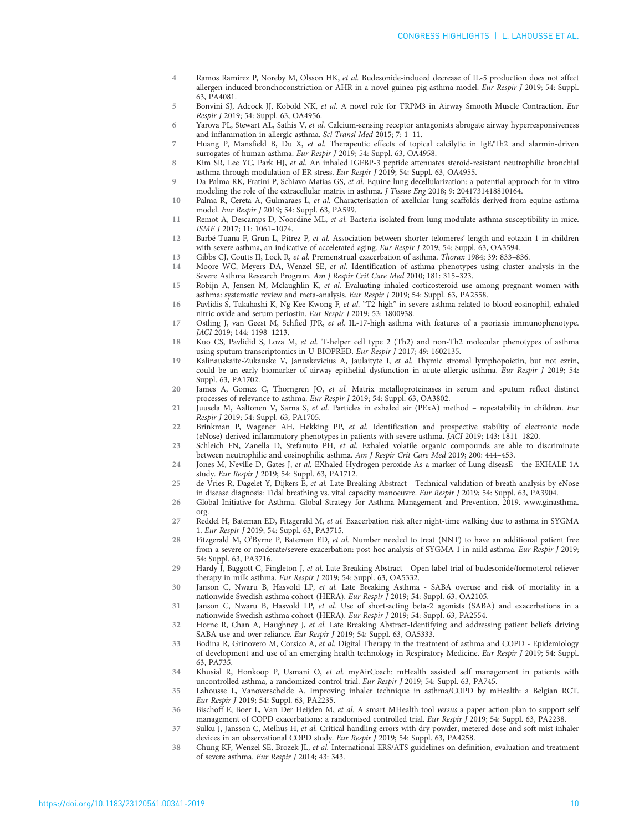- <span id="page-9-0"></span>4 Ramos Ramirez P, Noreby M, Olsson HK, et al. Budesonide-induced decrease of IL-5 production does not affect allergen-induced bronchoconstriction or AHR in a novel guinea pig asthma model. Eur Respir J 2019; 54: Suppl. 63, PA4081.
- 5 Bonvini SJ, Adcock JJ, Kobold NK, et al. A novel role for TRPM3 in Airway Smooth Muscle Contraction. Eur Respir J 2019; 54: Suppl. 63, OA4956.
- $6$  Yarova PL, Stewart AL, Sathis V, et al. Calcium-sensing receptor antagonists abrogate airway hyperresponsiveness and inflammation in allergic asthma. Sci Transl Med 2015; 7: 1–11.
- 7 Huang P, Mansfield B, Du X, et al. Therapeutic effects of topical calcilytic in IgE/Th2 and alarmin-driven surrogates of human asthma. Eur Respir J 2019; 54: Suppl. 63, OA4958.
- 8 Kim SR, Lee YC, Park HJ, et al. An inhaled IGFBP-3 peptide attenuates steroid-resistant neutrophilic bronchial asthma through modulation of ER stress. Eur Respir J 2019; 54: Suppl. 63, OA4955.
- 9 Da Palma RK, Fratini P, Schiavo Matias GS, et al. Equine lung decellularization: a potential approach for in vitro modeling the role of the extracellular matrix in asthma. J Tissue Eng 2018; 9: 2041731418810164.
- 10 Palma R, Cereta A, Gulmaraes L, et al. Characterisation of axellular lung scaffolds derived from equine asthma model. Eur Respir J 2019; 54: Suppl. 63, PA599.
- 11 Remot A, Descamps D, Noordine ML, et al. Bacteria isolated from lung modulate asthma susceptibility in mice. ISME J 2017; 11: 1061–1074.
- 12 Barbé-Tuana F, Grun L, Pitrez P, et al. Association between shorter telomeres' length and eotaxin-1 in children with severe asthma, an indicative of accelerated aging. Eur Respir J 2019; 54: Suppl. 63, OA3594.
- 13 Gibbs CJ, Coutts II, Lock R, et al. Premenstrual exacerbation of asthma. Thorax 1984; 39: 833–836.
- 14 Moore WC, Meyers DA, Wenzel SE, et al. Identification of asthma phenotypes using cluster analysis in the Severe Asthma Research Program. Am J Respir Crit Care Med 2010; 181: 315–323.
- 15 Robijn A, Jensen M, Mclaughlin K, et al. Evaluating inhaled corticosteroid use among pregnant women with asthma: systematic review and meta-analysis. Eur Respir J 2019; 54: Suppl. 63, PA2558.
- 16 Pavlidis S, Takahashi K, Ng Kee Kwong F, et al. "T2-high" in severe asthma related to blood eosinophil, exhaled nitric oxide and serum periostin. Eur Respir J 2019; 53: 1800938.
- 17 Ostling J, van Geest M, Schfied JPR, et al. IL-17-high asthma with features of a psoriasis immunophenotype. JACI 2019; 144: 1198–1213.
- 18 Kuo CS, Pavlidid S, Loza M, et al. T-helper cell type 2 (Th2) and non-Th2 molecular phenotypes of asthma using sputum transcriptomics in U-BIOPRED. Eur Respir J 2017; 49: 1602135.
- 19 Kalinauskaite-Zukauske V, Januskevicius A, Jaulaityte I, et al. Thymic stromal lymphopoietin, but not ezrin, could be an early biomarker of airway epithelial dysfunction in acute allergic asthma. Eur Respir J 2019; 54: Suppl. 63, PA1702.
- 20 James A, Gomez C, Thorngren JO, et al. Matrix metalloproteinases in serum and sputum reflect distinct processes of relevance to asthma. Eur Respir J 2019; 54: Suppl. 63, OA3802.
- 21 Juusela M, Aaltonen V, Sarna S, et al. Particles in exhaled air (PExA) method repeatability in children. Eur Respir J 2019; 54: Suppl. 63, PA1705.
- 22 Brinkman P, Wagener AH, Hekking PP, et al. Identification and prospective stability of electronic node (eNose)-derived inflammatory phenotypes in patients with severe asthma. JACI 2019; 143: 1811–1820.
- 23 Schleich FN, Zanella D, Stefanuto PH, et al. Exhaled volatile organic compounds are able to discriminate between neutrophilic and eosinophilic asthma. Am J Respir Crit Care Med 2019; 200: 444–453.
- 24 Jones M, Neville D, Gates J, et al. EXhaled Hydrogen peroxide As a marker of Lung diseasE the EXHALE 1A study. Eur Respir J 2019; 54: Suppl. 63, PA1712.
- 25 de Vries R, Dagelet Y, Dijkers E, et al. Late Breaking Abstract Technical validation of breath analysis by eNose in disease diagnosis: Tidal breathing vs. vital capacity manoeuvre. Eur Respir J 2019; 54: Suppl. 63, PA3904.
- 26 Global Initiative for Asthma. Global Strategy for Asthma Management and Prevention, 2019. [www.ginasthma.](http://www.ginasthma.org) [org.](http://www.ginasthma.org)
- 27 Reddel H, Bateman ED, Fitzgerald M, et al. Exacerbation risk after night-time walking due to asthma in SYGMA 1. Eur Respir J 2019; 54: Suppl. 63, PA3715.
- 28 Fitzgerald M, O'Byrne P, Bateman ED, et al. Number needed to treat (NNT) to have an additional patient free from a severe or moderate/severe exacerbation: post-hoc analysis of SYGMA 1 in mild asthma. Eur Respir J 2019; 54: Suppl. 63, PA3716.
- 29 Hardy J, Baggott C, Fingleton J, et al. Late Breaking Abstract Open label trial of budesonide/formoterol reliever therapy in milk asthma. Eur Respir J 2019; 54: Suppl. 63, OA5332.
- 30 Janson C, Nwaru B, Hasvold LP, et al. Late Breaking Asthma SABA overuse and risk of mortality in a nationwide Swedish asthma cohort (HERA). Eur Respir J 2019; 54: Suppl. 63, OA2105.
- 31 Janson C, Nwaru B, Hasvold LP, et al. Use of short-acting beta-2 agonists (SABA) and exacerbations in a nationwide Swedish asthma cohort (HERA). Eur Respir J 2019; 54: Suppl. 63, PA2554.
- 32 Horne R, Chan A, Haughney J, et al. Late Breaking Abstract-Identifying and addressing patient beliefs driving SABA use and over reliance. Eur Respir J 2019; 54: Suppl. 63, OA5333.
- 33 Bodina R, Grinovero M, Corsico A, et al. Digital Therapy in the treatment of asthma and COPD Epidemiology of development and use of an emerging health technology in Respiratory Medicine. Eur Respir J 2019; 54: Suppl. 63, PA735.
- 34 Khusial R, Honkoop P, Usmani O, et al. myAirCoach: mHealth assisted self management in patients with uncontrolled asthma, a randomized control trial. Eur Respir J 2019; 54: Suppl. 63, PA745.
- 35 Lahousse L, Vanoverschelde A. Improving inhaler technique in asthma/COPD by mHealth: a Belgian RCT. Eur Respir J 2019; 54: Suppl. 63, PA2235.
- 36 Bischoff E, Boer L, Van Der Heijden M, et al. A smart MHealth tool versus a paper action plan to support self management of COPD exacerbations: a randomised controlled trial. Eur Respir J 2019; 54: Suppl. 63, PA2238.
- 37 Sulku J, Jansson C, Melhus H, et al. Critical handling errors with dry powder, metered dose and soft mist inhaler devices in an observational COPD study. Eur Respir J 2019; 54: Suppl. 63, PA4258.
- 38 Chung KF, Wenzel SE, Brozek JL, et al. International ERS/ATS guidelines on definition, evaluation and treatment of severe asthma. Eur Respir J 2014; 43: 343.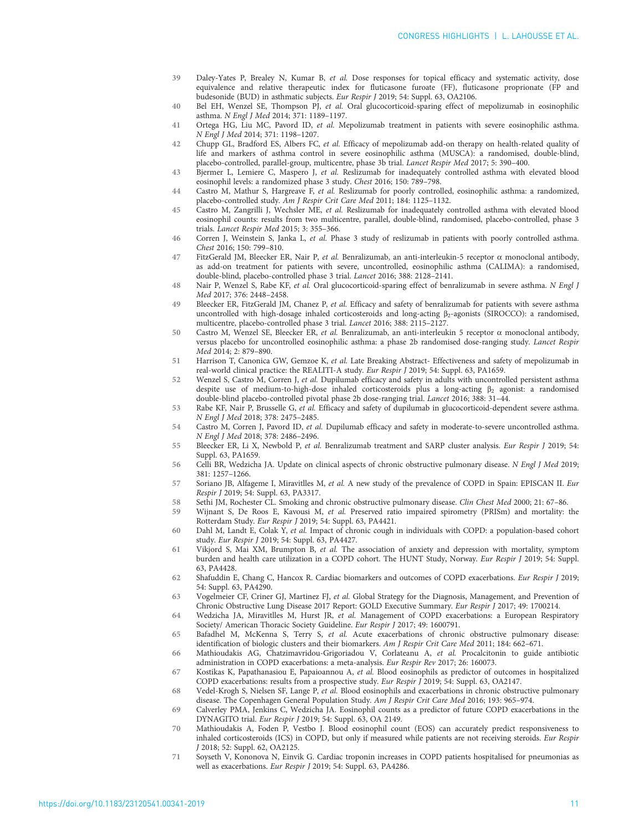- <span id="page-10-0"></span>39 Daley-Yates P, Brealey N, Kumar B, et al. Dose responses for topical efficacy and systematic activity, dose equivalence and relative therapeutic index for fluticasone furoate (FF), fluticasone proprionate (FP and budesonide (BUD) in asthmatic subjects. Eur Respir J 2019; 54: Suppl. 63, OA2106.
- 40 Bel EH, Wenzel SE, Thompson PJ, et al. Oral glucocorticoid-sparing effect of mepolizumab in eosinophilic asthma. N Engl J Med 2014; 371: 1189–1197.
- 41 Ortega HG, Liu MC, Pavord ID, et al. Mepolizumab treatment in patients with severe eosinophilic asthma. N Engl J Med 2014; 371: 1198–1207.
- 42 Chupp GL, Bradford ES, Albers FC, et al. Efficacy of mepolizumab add-on therapy on health-related quality of life and markers of asthma control in severe eosinophilic asthma (MUSCA): a randomised, double-blind, placebo-controlled, parallel-group, multicentre, phase 3b trial. Lancet Respir Med 2017; 5: 390–400.
- 43 Bjermer L, Lemiere C, Maspero J, et al. Reslizumab for inadequately controlled asthma with elevated blood eosinophil levels: a randomized phase 3 study. Chest 2016; 150: 789–798.
- 44 Castro M, Mathur S, Hargreave F, et al. Reslizumab for poorly controlled, eosinophilic asthma: a randomized, placebo-controlled study. Am J Respir Crit Care Med 2011; 184: 1125–1132.
- 45 Castro M, Zangrilli J, Wechsler ME, et al. Reslizumab for inadequately controlled asthma with elevated blood eosinophil counts: results from two multicentre, parallel, double-blind, randomised, placebo-controlled, phase 3 trials. Lancet Respir Med 2015; 3: 355–366.
- 46 Corren J, Weinstein S, Janka L, et al. Phase 3 study of reslizumab in patients with poorly controlled asthma. Chest 2016; 150: 799–810.
- 47 FitzGerald JM, Bleecker ER, Nair P, et al. Benralizumab, an anti-interleukin-5 receptor  $\alpha$  monoclonal antibody, as add-on treatment for patients with severe, uncontrolled, eosinophilic asthma (CALIMA): a randomised, double-blind, placebo-controlled phase 3 trial. Lancet 2016; 388: 2128–2141.
- 48 Nair P, Wenzel S, Rabe KF, et al. Oral glucocorticoid-sparing effect of benralizumab in severe asthma. N Engl J Med 2017; 376: 2448–2458.
- 49 Bleecker ER, FitzGerald JM, Chanez P, et al. Efficacy and safety of benralizumab for patients with severe asthma uncontrolled with high-dosage inhaled corticosteroids and long-acting β<sub>2</sub>-agonists (SIROCCO): a randomised, multicentre, placebo-controlled phase 3 trial. Lancet 2016; 388: 2115–2127.
- 50 Castro M, Wenzel SE, Bleecker ER, et al. Benralizumab, an anti-interleukin 5 receptor α monoclonal antibody, versus placebo for uncontrolled eosinophilic asthma: a phase 2b randomised dose-ranging study. Lancet Respir Med 2014; 2: 879–890.
- 51 Harrison T, Canonica GW, Gemzoe K, et al. Late Breaking Abstract- Effectiveness and safety of mepolizumab in real-world clinical practice: the REALITI-A study. Eur Respir J 2019; 54: Suppl. 63, PA1659.
- 52 Wenzel S, Castro M, Corren J, et al. Dupilumab efficacy and safety in adults with uncontrolled persistent asthma despite use of medium-to-high-dose inhaled corticosteroids plus a long-acting  $\beta_2$  agonist: a randomised double-blind placebo-controlled pivotal phase 2b dose-ranging trial. Lancet 2016; 388: 31–44.
- 53 Rabe KF, Nair P, Brusselle G, et al. Efficacy and safety of dupilumab in glucocorticoid-dependent severe asthma. N Engl J Med 2018; 378: 2475–2485.
- 54 Castro M, Corren J, Pavord ID, et al. Dupilumab efficacy and safety in moderate-to-severe uncontrolled asthma. N Engl J Med 2018; 378: 2486–2496.
- 55 Bleecker ER, Li X, Newbold P, et al. Benralizumab treatment and SARP cluster analysis. Eur Respir J 2019; 54: Suppl. 63, PA1659.
- 56 Celli BR, Wedzicha JA. Update on clinical aspects of chronic obstructive pulmonary disease. N Engl J Med 2019; 381: 1257–1266.
- 57 Soriano JB, Alfageme I, Miravitlles M, et al. A new study of the prevalence of COPD in Spain: EPISCAN II. Eur Respir J 2019; 54: Suppl. 63, PA3317.
- 58 Sethi JM, Rochester CL. Smoking and chronic obstructive pulmonary disease. Clin Chest Med 2000; 21: 67–86.
- 59 Wijnant S, De Roos E, Kavousi M, et al. Preserved ratio impaired spirometry (PRISm) and mortality: the Rotterdam Study. Eur Respir J 2019; 54: Suppl. 63, PA4421.
- 60 Dahl M, Landt E, Colak Y, et al. Impact of chronic cough in individuals with COPD: a population-based cohort study. Eur Respir J 2019; 54: Suppl. 63, PA4427.
- 61 Vikjord S, Mai XM, Brumpton B, et al. The association of anxiety and depression with mortality, symptom burden and health care utilization in a COPD cohort. The HUNT Study, Norway. Eur Respir J 2019; 54: Suppl. 63, PA4428.
- 62 Shafuddin E, Chang C, Hancox R. Cardiac biomarkers and outcomes of COPD exacerbations. Eur Respir J 2019; 54: Suppl. 63, PA4290.
- 63 Vogelmeier CF, Criner GJ, Martinez FJ, et al. Global Strategy for the Diagnosis, Management, and Prevention of Chronic Obstructive Lung Disease 2017 Report: GOLD Executive Summary. Eur Respir J 2017; 49: 1700214.
- 64 Wedzicha JA, Miravitlles M, Hurst JR, et al. Management of COPD exacerbations: a European Respiratory Society/ American Thoracic Society Guideline. Eur Respir J 2017; 49: 1600791.
- 65 Bafadhel M, McKenna S, Terry S, et al. Acute exacerbations of chronic obstructive pulmonary disease: identification of biologic clusters and their biomarkers. Am J Respir Crit Care Med 2011; 184: 662–671.
- 66 Mathioudakis AG, Chatzimavridou-Grigoriadou V, Corlateanu A, et al. Procalcitonin to guide antibiotic administration in COPD exacerbations: a meta-analysis. Eur Respir Rev 2017; 26: 160073.
- 67 Kostikas K, Papathanasiou E, Papaioannou A, et al. Blood eosinophils as predictor of outcomes in hospitalized COPD exacerbations: results from a prospective study. Eur Respir J 2019; 54: Suppl. 63, OA2147.
- 68 Vedel-Krogh S, Nielsen SF, Lange P, et al. Blood eosinophils and exacerbations in chronic obstructive pulmonary disease. The Copenhagen General Population Study. Am J Respir Crit Care Med 2016; 193: 965–974.
- 69 Calverley PMA, Jenkins C, Wedzicha JA. Eosinophil counts as a predictor of future COPD exacerbations in the DYNAGITO trial. Eur Respir J 2019; 54: Suppl. 63, OA 2149.
- 70 Mathioudakis A, Foden P, Vestbo J. Blood eosinophil count (EOS) can accurately predict responsiveness to inhaled corticosteroids (ICS) in COPD, but only if measured while patients are not receiving steroids. Eur Respir J 2018; 52: Suppl. 62, OA2125.
- 71 Soyseth V, Kononova N, Einvik G. Cardiac troponin increases in COPD patients hospitalised for pneumonias as well as exacerbations. Eur Respir J 2019; 54: Suppl. 63, PA4286.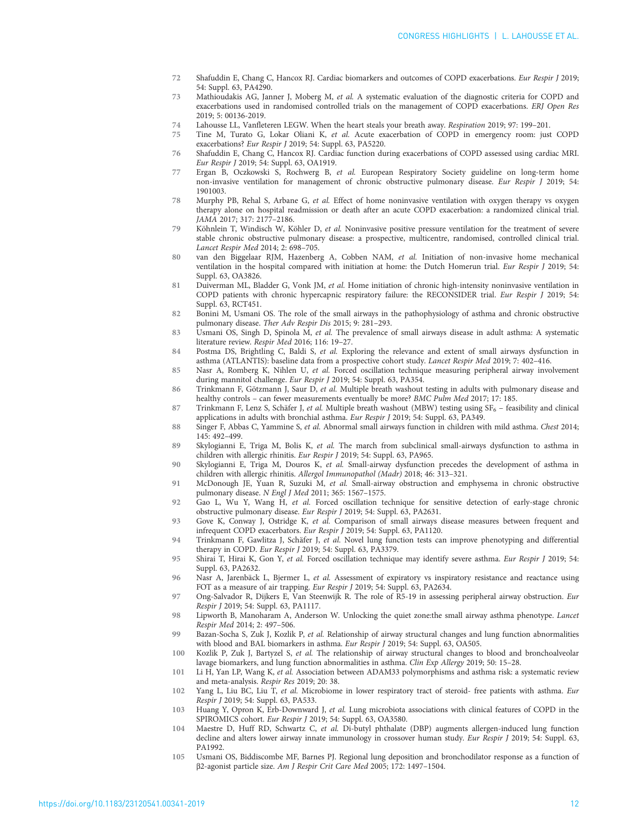- <span id="page-11-0"></span>72 Shafuddin E, Chang C, Hancox RJ. Cardiac biomarkers and outcomes of COPD exacerbations. Eur Respir J 2019; 54: Suppl. 63, PA4290.
- 73 Mathioudakis AG, Janner J, Moberg M, et al. A systematic evaluation of the diagnostic criteria for COPD and exacerbations used in randomised controlled trials on the management of COPD exacerbations. ERJ Open Res 2019; 5: 00136-2019.
- 74 Lahousse LL, Vanfleteren LEGW. When the heart steals your breath away. Respiration 2019; 97: 199–201.
- 75 Tine M, Turato G, Lokar Oliani K, et al. Acute exacerbation of COPD in emergency room: just COPD exacerbations? Eur Respir J 2019; 54: Suppl. 63, PA5220.
- 76 Shafuddin E, Chang C, Hancox RJ. Cardiac function during exacerbations of COPD assessed using cardiac MRI. Eur Respir J 2019; 54: Suppl. 63, OA1919.
- 77 Ergan B, Oczkowski S, Rochwerg B, et al. European Respiratory Society guideline on long-term home non-invasive ventilation for management of chronic obstructive pulmonary disease. Eur Respir J 2019; 54: 1901003.
- 78 Murphy PB, Rehal S, Arbane G, et al. Effect of home noninvasive ventilation with oxygen therapy vs oxygen therapy alone on hospital readmission or death after an acute COPD exacerbation: a randomized clinical trial. JAMA 2017; 317: 2177–2186.
- 79 Köhnlein T, Windisch W, Köhler D, et al. Noninvasive positive pressure ventilation for the treatment of severe stable chronic obstructive pulmonary disease: a prospective, multicentre, randomised, controlled clinical trial. Lancet Respir Med 2014; 2: 698–705.
- 80 van den Biggelaar RJM, Hazenberg A, Cobben NAM, et al. Initiation of non-invasive home mechanical ventilation in the hospital compared with initiation at home: the Dutch Homerun trial. Eur Respir J 2019; 54: Suppl. 63, OA3826.
- 81 Duiverman ML, Bladder G, Vonk JM, et al. Home initiation of chronic high-intensity noninvasive ventilation in COPD patients with chronic hypercapnic respiratory failure: the RECONSIDER trial. Eur Respir J 2019; 54: Suppl. 63, RCT451.
- 82 Bonini M, Usmani OS. The role of the small airways in the pathophysiology of asthma and chronic obstructive pulmonary disease. Ther Adv Respir Dis 2015; 9: 281–293.
- 83 Usmani OS, Singh D, Spinola M, et al. The prevalence of small airways disease in adult asthma: A systematic literature review. Respir Med 2016; 116: 19–27.
- 84 Postma DS, Brightling C, Baldi S, et al. Exploring the relevance and extent of small airways dysfunction in asthma (ATLANTIS): baseline data from a prospective cohort study. Lancet Respir Med 2019; 7: 402–416.
- 85 Nasr A, Romberg K, Nihlen U, et al. Forced oscillation technique measuring peripheral airway involvement during mannitol challenge. Eur Respir J 2019; 54: Suppl. 63, PA354.
- 86 Trinkmann F, Götzmann J, Saur D, et al. Multiple breath washout testing in adults with pulmonary disease and healthy controls – can fewer measurements eventually be more? BMC Pulm Med 2017; 17: 185.
- 87 Trinkmann F, Lenz S, Schäfer J, et al. Multiple breath washout (MBW) testing using SF<sub>6</sub> feasibility and clinical applications in adults with bronchial asthma. Eur Respir J 2019; 54: Suppl. 63, PA349.
- 88 Singer F, Abbas C, Yammine S, et al. Abnormal small airways function in children with mild asthma. Chest 2014; 145: 492–499.
- 89 Skylogianni E, Triga M, Bolis K, et al. The march from subclinical small-airways dysfunction to asthma in children with allergic rhinitis. Eur Respir J 2019; 54: Suppl. 63, PA965.
- 90 Skylogianni E, Triga M, Douros K, et al. Small-airway dysfunction precedes the development of asthma in children with allergic rhinitis. Allergol Immunopathol (Madr) 2018; 46: 313–321.
- 91 McDonough JE, Yuan R, Suzuki M, et al. Small-airway obstruction and emphysema in chronic obstructive pulmonary disease. N Engl J Med 2011; 365: 1567–1575.
- 92 Gao L, Wu Y, Wang H, et al. Forced oscillation technique for sensitive detection of early-stage chronic obstructive pulmonary disease. Eur Respir J 2019; 54: Suppl. 63, PA2631.
- 93 Gove K, Conway J, Ostridge K, et al. Comparison of small airways disease measures between frequent and infrequent COPD exacerbators. Eur Respir J 2019; 54: Suppl. 63, PA1120.
- 94 Trinkmann F, Gawlitza J, Schäfer J, et al. Novel lung function tests can improve phenotyping and differential therapy in COPD. Eur Respir J 2019; 54: Suppl. 63, PA3379.
- 95 Shirai T, Hirai K, Gon Y, et al. Forced oscillation technique may identify severe asthma. Eur Respir J 2019; 54: Suppl. 63, PA2632.
- 96 Nasr A, Jarenbäck L, Bjermer L, et al. Assessment of expiratory vs inspiratory resistance and reactance using FOT as a measure of air trapping. Eur Respir J 2019; 54: Suppl. 63, PA2634.
- 97 Ong-Salvador R, Dijkers E, Van Steenwijk R. The role of R5-19 in assessing peripheral airway obstruction. Eur Respir J 2019; 54: Suppl. 63, PA1117.
- 98 Lipworth B, Manoharam A, Anderson W. Unlocking the quiet zone:the small airway asthma phenotype. Lancet Respir Med 2014; 2: 497–506.
- 99 Bazan-Socha S, Zuk J, Kozlik P, et al. Relationship of airway structural changes and lung function abnormalities with blood and BAL biomarkers in asthma. Eur Respir J 2019; 54: Suppl. 63, OA505.
- 100 Kozlik P, Zuk J, Bartyzel S, et al. The relationship of airway structural changes to blood and bronchoalveolar lavage biomarkers, and lung function abnormalities in asthma. Clin Exp Allergy 2019; 50: 15–28.
- 101 Li H, Yan LP, Wang K, et al. Association between ADAM33 polymorphisms and asthma risk: a systematic review and meta-analysis. Respir Res 2019; 20: 38.
- 102 Yang L, Liu BC, Liu T, et al. Microbiome in lower respiratory tract of steroid- free patients with asthma. Eur Respir J 2019; 54: Suppl. 63, PA533.
- 103 Huang Y, Opron K, Erb-Downward J, et al. Lung microbiota associations with clinical features of COPD in the SPIROMICS cohort. Eur Respir J 2019; 54: Suppl. 63, OA3580.
- 104 Maestre D, Huff RD, Schwartz C, et al. Di-butyl phthalate (DBP) augments allergen-induced lung function decline and alters lower airway innate immunology in crossover human study. Eur Respir J 2019; 54: Suppl. 63, PA1992.
- 105 Usmani OS, Biddiscombe MF, Barnes PJ. Regional lung deposition and bronchodilator response as a function of β2-agonist particle size. Am J Respir Crit Care Med 2005; 172: 1497–1504.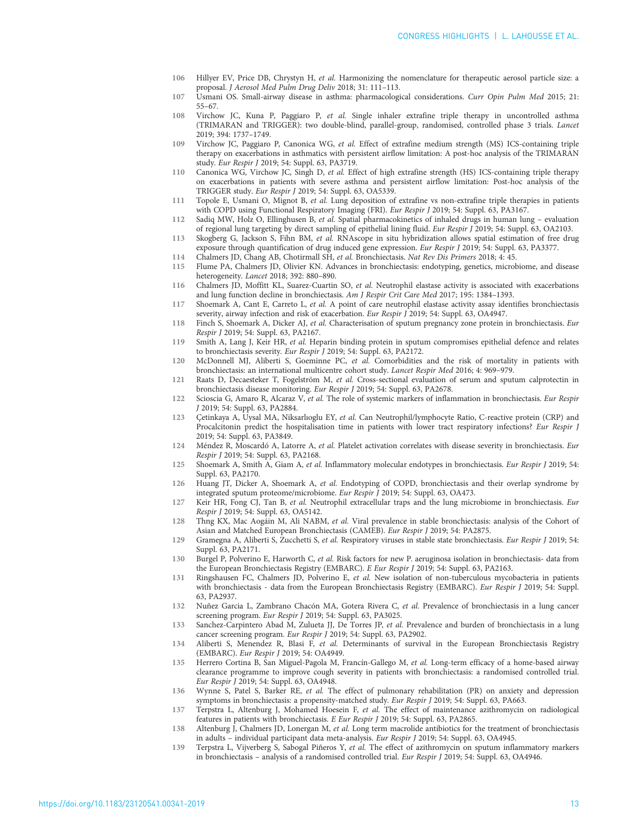- <span id="page-12-0"></span>106 Hillyer EV, Price DB, Chrystyn H, et al. Harmonizing the nomenclature for therapeutic aerosol particle size: a proposal. J Aerosol Med Pulm Drug Deliv 2018; 31: 111–113.
- 107 Usmani OS. Small-airway disease in asthma: pharmacological considerations. Curr Opin Pulm Med 2015; 21: 55–67.
- 108 Virchow JC, Kuna P, Paggiaro P, et al. Single inhaler extrafine triple therapy in uncontrolled asthma (TRIMARAN and TRIGGER): two double-blind, parallel-group, randomised, controlled phase 3 trials. Lancet 2019; 394: 1737–1749.
- 109 Virchow JC, Paggiaro P, Canonica WG, et al. Effect of extrafine medium strength (MS) ICS-containing triple therapy on exacerbations in asthmatics with persistent airflow limitation: A post-hoc analysis of the TRIMARAN study. Eur Respir J 2019; 54: Suppl. 63, PA3719.
- 110 Canonica WG, Virchow JC, Singh D, et al. Effect of high extrafine strength (HS) ICS-containing triple therapy on exacerbations in patients with severe asthma and persistent airflow limitation: Post-hoc analysis of the TRIGGER study. Eur Respir J 2019; 54: Suppl. 63, OA5339.
- 111 Topole E, Usmani O, Mignot B, et al. Lung deposition of extrafine vs non-extrafine triple therapies in patients with COPD using Functional Respiratory Imaging (FRI). Eur Respir J 2019; 54: Suppl. 63, PA3167.
- 112 Sadiq MW, Holz O, Ellinghusen B, et al. Spatial pharmacokinetics of inhaled drugs in human lung evaluation of regional lung targeting by direct sampling of epithelial lining fluid. Eur Respir J 2019; 54: Suppl. 63, OA2103.
- 113 Skogberg G, Jackson S, Fihn BM, et al. RNAscope in situ hybridization allows spatial estimation of free drug exposure through quantification of drug induced gene expression. Eur Respir J 2019; 54: Suppl. 63, PA3377. 114 Chalmers JD, Chang AB, Chotirmall SH, et al. Bronchiectasis. Nat Rev Dis Primers 2018; 4: 45.
- 115 Flume PA, Chalmers JD, Olivier KN. Advances in bronchiectasis: endotyping, genetics, microbiome, and disease

heterogeneity. Lancet 2018; 392: 880–890.

- 116 Chalmers JD, Moffitt KL, Suarez-Cuartin SO, et al. Neutrophil elastase activity is associated with exacerbations and lung function decline in bronchiectasis. Am J Respir Crit Care Med 2017; 195: 1384–1393.
- 117 Shoemark A, Cant E, Carreto L, et al. A point of care neutrophil elastase activity assay identifies bronchiectasis severity, airway infection and risk of exacerbation. Eur Respir J 2019; 54: Suppl. 63, OA4947.
- 118 Finch S, Shoemark A, Dicker AJ, et al. Characterisation of sputum pregnancy zone protein in bronchiectasis. Eur Respir J 2019; 54: Suppl. 63, PA2167.
- 119 Smith A, Lang J, Keir HR, et al. Heparin binding protein in sputum compromises epithelial defence and relates to bronchiectasis severity. Eur Respir J 2019; 54: Suppl. 63, PA2172.
- 120 McDonnell MJ, Aliberti S, Goeminne PC, et al. Comorbidities and the risk of mortality in patients with bronchiectasis: an international multicentre cohort study. Lancet Respir Med 2016; 4: 969–979.
- 121 Raats D, Decaesteker T, Fogelström M, et al. Cross-sectional evaluation of serum and sputum calprotectin in bronchiectasis disease monitoring. Eur Respir J 2019; 54: Suppl. 63, PA2678.
- 122 Scioscia G, Amaro R, Alcaraz V, et al. The role of systemic markers of inflammation in bronchiectasis. Eur Respir J 2019; 54: Suppl. 63, PA2884.
- 123 Çetinkaya A, Uysal MA, Niksarlıoglu EY, et al. Can Neutrophil/lymphocyte Ratio, C-reactive protein (CRP) and Procalcitonin predict the hospitalisation time in patients with lower tract respiratory infections? Eur Respir J 2019; 54: Suppl. 63, PA3849.
- 124 Méndez R, Moscardó A, Latorre A, et al. Platelet activation correlates with disease severity in bronchiectasis. Eur Respir J 2019; 54: Suppl. 63, PA2168.
- 125 Shoemark A, Smith A, Giam A, et al. Inflammatory molecular endotypes in bronchiectasis. Eur Respir J 2019; 54: Suppl. 63, PA2170.
- 126 Huang JT, Dicker A, Shoemark A, et al. Endotyping of COPD, bronchiectasis and their overlap syndrome by integrated sputum proteome/microbiome. Eur Respir J 2019; 54: Suppl. 63, OA473.
- 127 Keir HR, Fong CJ, Tan B, et al. Neutrophil extracellular traps and the lung microbiome in bronchiectasis. Eur Respir J 2019; 54: Suppl. 63, OA5142.
- 128 Thng KX, Mac Aogáin M, Ali NABM, et al. Viral prevalence in stable bronchiectasis: analysis of the Cohort of Asian and Matched European Bronchiectasis (CAMEB). Eur Respir J 2019; 54: PA2875.
- 129 Gramegna A, Aliberti S, Zucchetti S, et al. Respiratory viruses in stable state bronchiectasis. Eur Respir J 2019; 54: Suppl. 63, PA2171.
- 130 Burgel P, Polverino E, Harworth C, et al. Risk factors for new P. aeruginosa isolation in bronchiectasis- data from the European Bronchiectasis Registry (EMBARC). E Eur Respir J 2019; 54: Suppl. 63, PA2163.
- 131 Ringshausen FC, Chalmers JD, Polverino E, et al. New isolation of non-tuberculous mycobacteria in patients with bronchiectasis - data from the European Bronchiectasis Registry (EMBARC). Eur Respir J 2019; 54: Suppl. 63, PA2937.
- 132 Nuñez Garcia L, Zambrano Chacón MA, Gotera Rivera C, et al. Prevalence of bronchiectasis in a lung cancer screening program. Eur Respir J 2019; 54: Suppl. 63, PA3025.
- 133 Sanchez-Carpintero Abad M, Zulueta JJ, De Torres JP, et al. Prevalence and burden of bronchiectasis in a lung cancer screening program. Eur Respir J 2019; 54: Suppl. 63, PA2902.
- 134 Aliberti S, Menendez R, Blasi F, et al. Determinants of survival in the European Bronchiectasis Registry (EMBARC). Eur Respir J 2019; 54: OA4949.
- 135 Herrero Cortina B, San Miguel-Pagola M, Francín-Gallego M, et al. Long-term efficacy of a home-based airway clearance programme to improve cough severity in patients with bronchiectasis: a randomised controlled trial. Eur Respir J 2019; 54: Suppl. 63, OA4948.
- 136 Wynne S, Patel S, Barker RE, et al. The effect of pulmonary rehabilitation (PR) on anxiety and depression symptoms in bronchiectasis: a propensity-matched study. Eur Respir J 2019; 54: Suppl. 63, PA663.
- 137 Terpstra L, Altenburg J, Mohamed Hoesein F, et al. The effect of maintenance azithromycin on radiological features in patients with bronchiectasis. E Eur Respir J 2019; 54: Suppl. 63, PA2865.
- 138 Altenburg J, Chalmers JD, Lonergan M, et al. Long term macrolide antibiotics for the treatment of bronchiectasis in adults – individual participant data meta-analysis. Eur Respir J 2019; 54: Suppl. 63, OA4945.
- 139 Terpstra L, Vijverberg S, Sabogal Piñeros Y, et al. The effect of azithromycin on sputum inflammatory markers in bronchiectasis – analysis of a randomised controlled trial. Eur Respir J 2019; 54: Suppl. 63, OA4946.